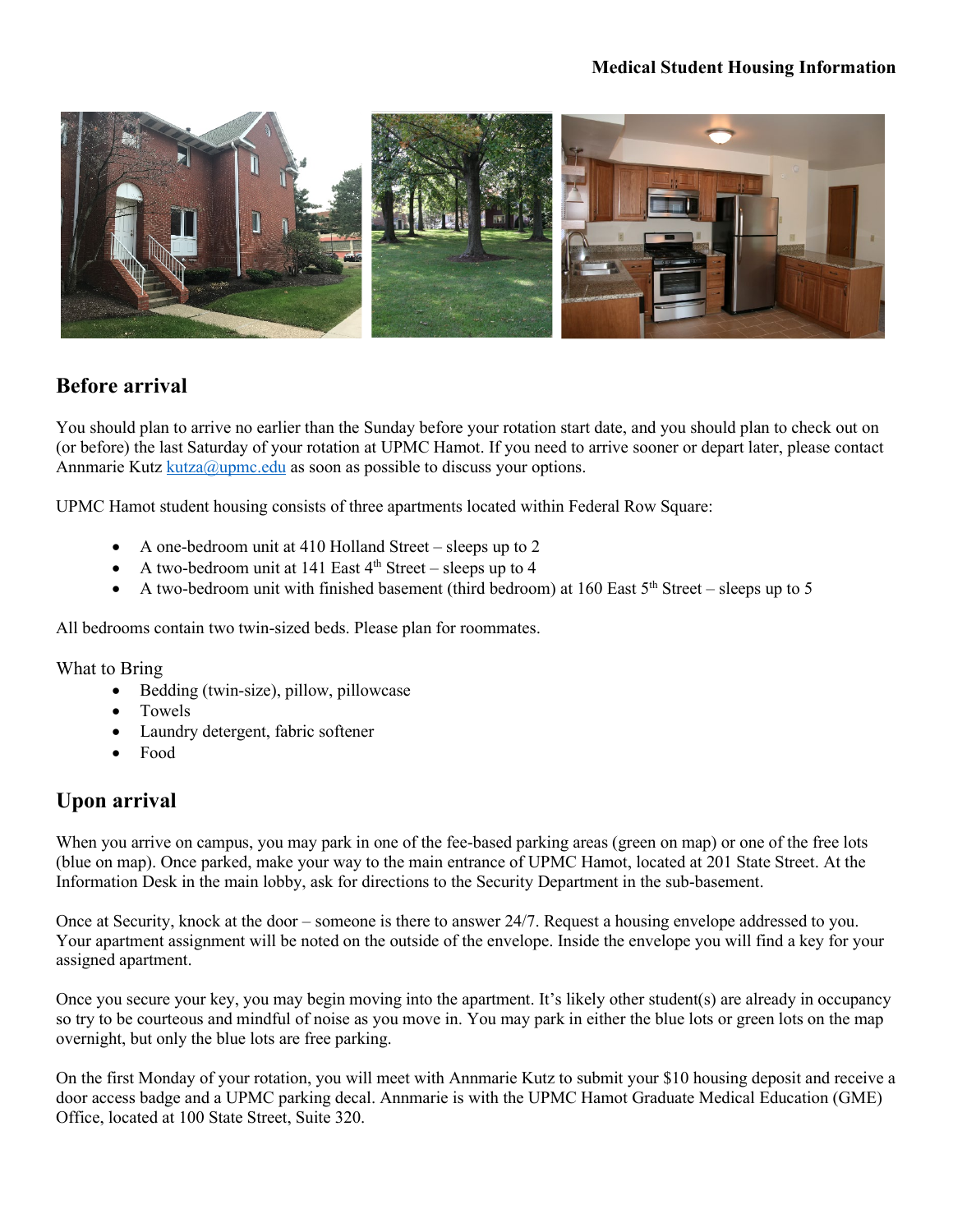### **Medical Student Housing Information**



# **Before arrival**

You should plan to arrive no earlier than the Sunday before your rotation start date, and you should plan to check out on (or before) the last Saturday of your rotation at UPMC Hamot. If you need to arrive sooner or depart later, please contact Annmarie Kutz  $kutza@upmc.edu$  as soon as possible to discuss your options.

UPMC Hamot student housing consists of three apartments located within Federal Row Square:

- A one-bedroom unit at 410 Holland Street sleeps up to 2
- A two-bedroom unit at 141 East  $4<sup>th</sup>$  Street sleeps up to 4
- A two-bedroom unit with finished basement (third bedroom) at 160 East  $5<sup>th</sup>$  Street sleeps up to 5

All bedrooms contain two twin-sized beds. Please plan for roommates.

What to Bring

- Bedding (twin-size), pillow, pillowcase
- Towels
- Laundry detergent, fabric softener
- Food

# **Upon arrival**

When you arrive on campus, you may park in one of the fee-based parking areas (green on map) or one of the free lots (blue on map). Once parked, make your way to the main entrance of UPMC Hamot, located at 201 State Street. At the Information Desk in the main lobby, ask for directions to the Security Department in the sub-basement.

Once at Security, knock at the door – someone is there to answer 24/7. Request a housing envelope addressed to you. Your apartment assignment will be noted on the outside of the envelope. Inside the envelope you will find a key for your assigned apartment.

Once you secure your key, you may begin moving into the apartment. It's likely other student(s) are already in occupancy so try to be courteous and mindful of noise as you move in. You may park in either the blue lots or green lots on the map overnight, but only the blue lots are free parking.

On the first Monday of your rotation, you will meet with Annmarie Kutz to submit your \$10 housing deposit and receive a door access badge and a UPMC parking decal. Annmarie is with the UPMC Hamot Graduate Medical Education (GME) Office, located at 100 State Street, Suite 320.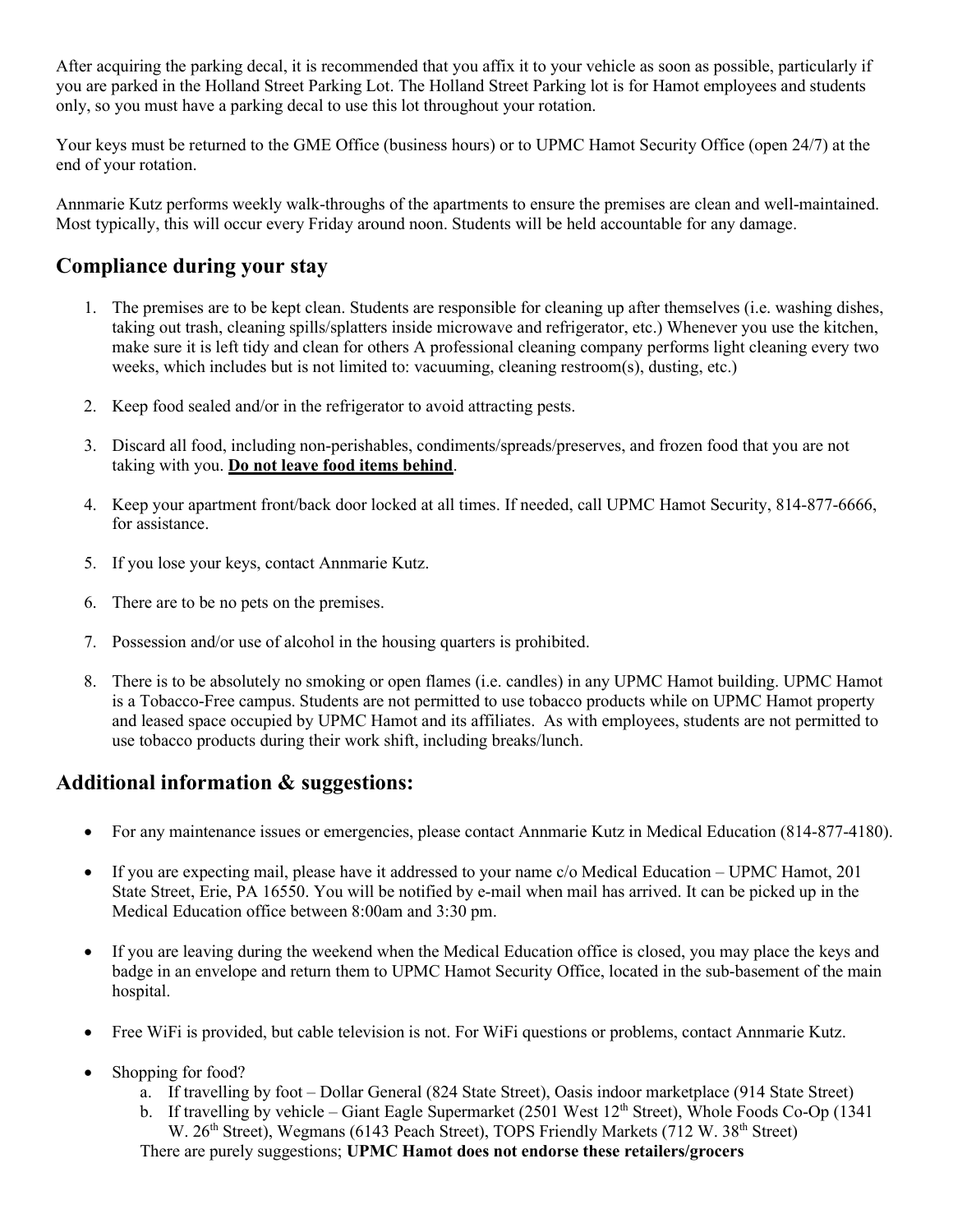After acquiring the parking decal, it is recommended that you affix it to your vehicle as soon as possible, particularly if you are parked in the Holland Street Parking Lot. The Holland Street Parking lot is for Hamot employees and students only, so you must have a parking decal to use this lot throughout your rotation.

Your keys must be returned to the GME Office (business hours) or to UPMC Hamot Security Office (open 24/7) at the end of your rotation.

Annmarie Kutz performs weekly walk-throughs of the apartments to ensure the premises are clean and well-maintained. Most typically, this will occur every Friday around noon. Students will be held accountable for any damage.

# **Compliance during your stay**

- 1. The premises are to be kept clean. Students are responsible for cleaning up after themselves (i.e. washing dishes, taking out trash, cleaning spills/splatters inside microwave and refrigerator, etc.) Whenever you use the kitchen, make sure it is left tidy and clean for others A professional cleaning company performs light cleaning every two weeks, which includes but is not limited to: vacuuming, cleaning restroom(s), dusting, etc.)
- 2. Keep food sealed and/or in the refrigerator to avoid attracting pests.
- 3. Discard all food, including non-perishables, condiments/spreads/preserves, and frozen food that you are not taking with you. **Do not leave food items behind**.
- 4. Keep your apartment front/back door locked at all times. If needed, call UPMC Hamot Security, 814-877-6666, for assistance.
- 5. If you lose your keys, contact Annmarie Kutz.
- 6. There are to be no pets on the premises.
- 7. Possession and/or use of alcohol in the housing quarters is prohibited.
- 8. There is to be absolutely no smoking or open flames (i.e. candles) in any UPMC Hamot building. UPMC Hamot is a Tobacco-Free campus. Students are not permitted to use tobacco products while on UPMC Hamot property and leased space occupied by UPMC Hamot and its affiliates. As with employees, students are not permitted to use tobacco products during their work shift, including breaks/lunch.

# **Additional information & suggestions:**

- For any maintenance issues or emergencies, please contact Annmarie Kutz in Medical Education (814-877-4180).
- If you are expecting mail, please have it addressed to your name c/o Medical Education UPMC Hamot, 201 State Street, Erie, PA 16550. You will be notified by e-mail when mail has arrived. It can be picked up in the Medical Education office between 8:00am and 3:30 pm.
- If you are leaving during the weekend when the Medical Education office is closed, you may place the keys and badge in an envelope and return them to UPMC Hamot Security Office, located in the sub-basement of the main hospital.
- Free WiFi is provided, but cable television is not. For WiFi questions or problems, contact Annmarie Kutz.
- Shopping for food?
	- a. If travelling by foot Dollar General (824 State Street), Oasis indoor marketplace (914 State Street)
	- b. If travelling by vehicle Giant Eagle Supermarket (2501 West  $12<sup>th</sup>$  Street), Whole Foods Co-Op (1341

W. 26<sup>th</sup> Street), Wegmans (6143 Peach Street), TOPS Friendly Markets (712 W. 38<sup>th</sup> Street) There are purely suggestions; **UPMC Hamot does not endorse these retailers/grocers**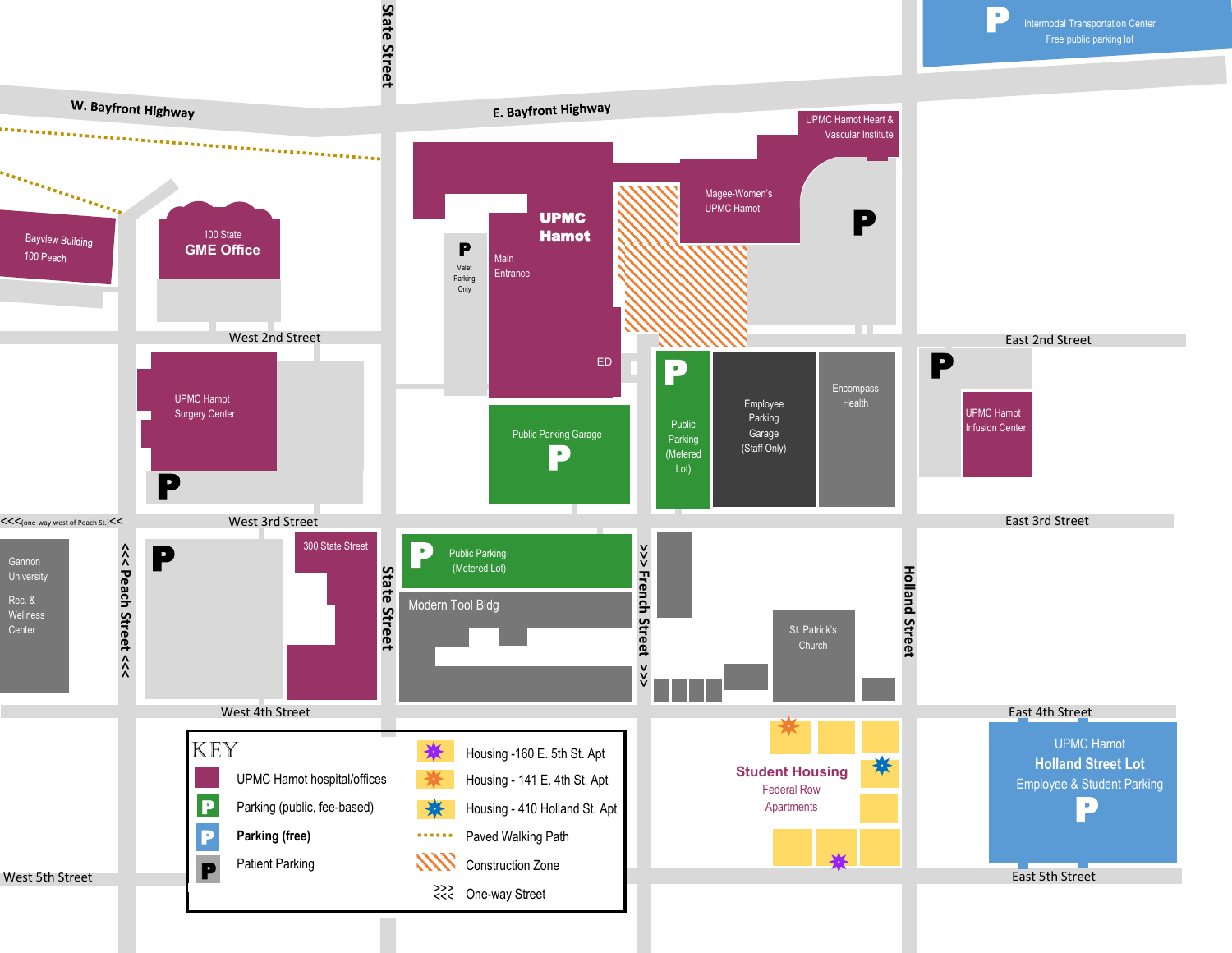